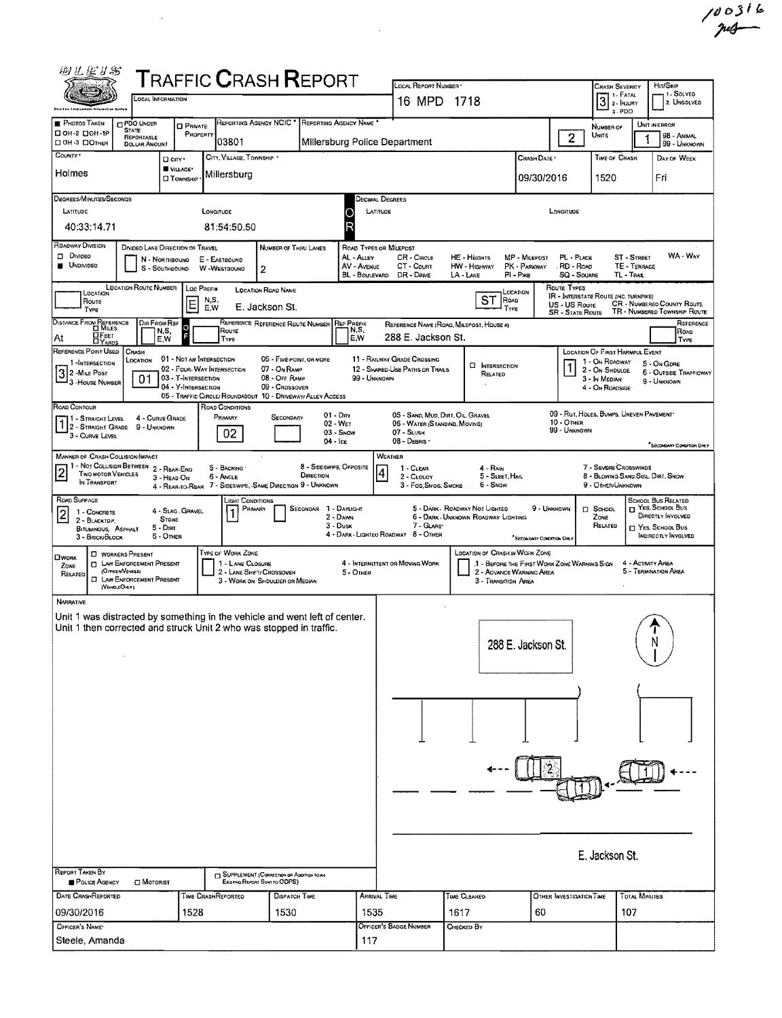| 羽孔运り器                                                                                                                                                                                                                                                                                                                                                                                                                                                                                                      |                                                                              |                                                                    | <b>T</b> RAFFIC <b>C</b> RASH <b>R</b> EPORT                                                                                               |                                                                      |                                                                                                 |                                                                                       |                                                         |                                                                                                                                                                        |           |  |  |
|------------------------------------------------------------------------------------------------------------------------------------------------------------------------------------------------------------------------------------------------------------------------------------------------------------------------------------------------------------------------------------------------------------------------------------------------------------------------------------------------------------|------------------------------------------------------------------------------|--------------------------------------------------------------------|--------------------------------------------------------------------------------------------------------------------------------------------|----------------------------------------------------------------------|-------------------------------------------------------------------------------------------------|---------------------------------------------------------------------------------------|---------------------------------------------------------|------------------------------------------------------------------------------------------------------------------------------------------------------------------------|-----------|--|--|
| <b>Ship tru Entercoment folorization Ayalya</b>                                                                                                                                                                                                                                                                                                                                                                                                                                                            | LOCAL INFORMATION                                                            |                                                                    |                                                                                                                                            |                                                                      | LOCAL REPORT NUMBER *<br>16 MPD 1718                                                            |                                                                                       |                                                         | HIT/SKIP<br><b>CRASH SEVERITY</b><br>y 1 - SOLVED<br>$\mathbf{I}$ 1. Fatal<br>$3$ $\cdot$ FATAL<br>2. UNSOLVED<br>$1.$ PDO                                             |           |  |  |
| <b>PHOTOS TAKEN</b><br><b>CI PDO UNDER</b><br><b>STATE</b><br>□ ОН-2 □ ОН-19<br>DOH-3 DOTHER                                                                                                                                                                                                                                                                                                                                                                                                               | <b>D</b> PRIVATE<br>REPORTABLE<br><b>DOLLAR AMOUNT</b>                       | REPORTING AGENCY NCIC<br>PROPERTY<br>03801                         |                                                                                                                                            | REPORTING AGENCY NAME<br>Millersburg Police Department               |                                                                                                 |                                                                                       | $\overline{2}$                                          | UNIT IN ERROR<br>NUMBER OF<br>Units<br>98 - ANIMAL<br>1<br>99 - UNKNOWN                                                                                                |           |  |  |
| COUNTY*<br>Holmes                                                                                                                                                                                                                                                                                                                                                                                                                                                                                          | □ cm·<br>VILLAGE*<br><b>LI TOWNSHIP</b>                                      | CITY, VILLAGE, TOWNSHIP<br>Millersburg                             |                                                                                                                                            |                                                                      |                                                                                                 |                                                                                       | CRASH DATE *<br>09/30/2016                              | TIME OF CRASH<br>DAY OF WEEK<br>1520<br>Fri                                                                                                                            |           |  |  |
| Degrees/Minutes/Seconds<br>LATITUDE<br>40:33:14.71                                                                                                                                                                                                                                                                                                                                                                                                                                                         |                                                                              | LONGITUDE<br>81:54:50.50                                           |                                                                                                                                            | DECIMAL DEGREES<br>LATITUDE                                          |                                                                                                 |                                                                                       | LONGITUDE                                               |                                                                                                                                                                        |           |  |  |
| <b>ROADWAY DIVISION</b><br>D Divideo<br><b>UNDIVIDEO</b>                                                                                                                                                                                                                                                                                                                                                                                                                                                   | DIVIDED LANE DIRECTION OF TRAVEL<br>N - NORTHBOUNG<br>S - SOUTHBOUND         | E - EASTBOUND<br>W-WESTBOUNG                                       | NUMBER OF THRU LANES<br>$\mathbf{2}$                                                                                                       | ROAD TYPES OR MILEPOST<br>AL - Auey<br>AV - AVENUE<br>BL - BOULEVARD | CR - CIRCLE<br>CT - Count<br>DR - DRIVE                                                         | HE - HEIGHTS<br>MP - MILEPOST<br>HW - HIGHWAY<br>PK - PARKWAY<br>LA - LANE<br>PI-Pike | PL - PLACE<br>RD - Road<br>SQ - SOUARE                  | WA - WAY<br>ST - Street<br>TE - TERRACE<br>TL - TRAL                                                                                                                   |           |  |  |
| <b>LOCATION ROUTE NUMBER</b><br>LOCATION<br>Route<br>Type                                                                                                                                                                                                                                                                                                                                                                                                                                                  | E                                                                            | LOC PREFIX<br>N,S,<br>E,W                                          | <b>LOCATION ROAD NAME</b><br>E. Jackson St.                                                                                                |                                                                      |                                                                                                 | LOCATION<br>ST<br>ROAD<br>TYPE                                                        | Route Types<br>US - US Roure<br><b>SR - STATE ROUTE</b> | <b>IR - INTERSTATE ROUTE (INC. TURNPIKE)</b><br><b>CR - NUMBERED COUNTY ROUTE</b><br>TR - NUMBERED TOWNSHIP ROUTE                                                      |           |  |  |
| DISTANCE FROM REFERENCE<br>$\Box$ FEET<br>At<br><b>DYAROS</b>                                                                                                                                                                                                                                                                                                                                                                                                                                              | DIR FROM REF<br>$\circ$<br>N,S,<br>F<br>E,W                                  | Route<br>TYPE                                                      | REFERENCE REFERENCE ROUTE NUMBER REF PREFIX                                                                                                | N,S,<br>E.W                                                          | 288 E. Jackson St.                                                                              | REFERENCE NAME (ROAD, MALEPOST, HOUSE 4)                                              |                                                         | ROAD<br>TYPE                                                                                                                                                           | REFERENCE |  |  |
| REFERENCE POINT USED<br>CRASH<br>LOCATION<br>1-INTERSECTION<br>$32$ -Mile Post<br>3 - House Number                                                                                                                                                                                                                                                                                                                                                                                                         | 01 - NOT AN INTERSECTION<br>03 - T-INTERSECTION<br>01<br>04 - Y-INTERSECTION | 02 - FOUR WAY INTERSECTION                                         | 06 - Five-POINT, OR MORE<br>07 - ON RAMP<br>08 - OFF RAMP<br>09 - Crossover<br>05 - TRAFFIC CIRCLE/ ROUNDABOUT 10 - DRIVEWAY/ ALLEY ACCESS | 99 - UNKNOWN                                                         | 11 - RAILWAY GRADE CROSSING<br>12 - SHARED-USE PATHS OR TRAILS                                  | <b>C INTERSECTION</b><br>RELATED                                                      |                                                         | LOCATION OF FIRST HARMFUL EVENT<br>1 - On ROADWAY<br>5 - On Gore<br>2 - ON SHOULDE<br><b>6 - OUTSIDE TRAFFICWAY</b><br>3 - In Median<br>9 - Unknown<br>4 - On ROADSIGE |           |  |  |
| ROAD CONTOUR<br>11 - Straight Level<br>1 - STRAIGHT LEVEL<br>3 - CURVE LEVEL                                                                                                                                                                                                                                                                                                                                                                                                                               | 4 - CURVE GRADE<br>9 - UNKNOWN                                               | ROAD CONDITIONS<br>Primary<br>02                                   | $01 - \text{Dav}$<br>SECONDARY<br>02 - WET<br>04 - Ice                                                                                     | $03 -$ Snow                                                          | 05 - SAND, MUD, DIRT, OIL, GRAVEL<br>06 - WATER (STANDING, MOVING)<br>07 - SLUSH<br>08 - DEBRIS |                                                                                       | 10 - Отнев<br>99 - UNKNOWN                              | 09 - RUT, HOLES, BUMPS, UNEVEN PAVEMENT*<br><sup>P</sup> SECONDARY CONDITION DIRLY                                                                                     |           |  |  |
| WEATHER<br>MANNER OF CRASH COLLISION/IMPACT<br>11 - Not Collision Between 2 - Rear-Eno<br>8 - SIDESWIPE, OPPOSITE<br>7 - SEVERE CROSSWINDS<br>$\overline{2}$<br>5 - BACKING<br>$1 - CLEAR$<br>$4 - R$ AIN<br>$\left  4 \right $<br>TWO MOTOR VEHICLES<br>DIRECTION<br>8 - BLOWING SAND, SOLL, DIRT, SNOW<br>5 - SLEET, HAIL<br>6 - Angle<br>2 CLOUDY<br>$3 -$ HEAD-ON<br>IN TRANSPORT<br>4 - REAR-TO-REAR 7 - SIDESWIPE, SAME DIRECTION 9 - UNKNOWN<br>3 Fog, Smog, Smoke<br>6 - Snow<br>9 - OTHER/UNKNOWN |                                                                              |                                                                    |                                                                                                                                            |                                                                      |                                                                                                 |                                                                                       |                                                         |                                                                                                                                                                        |           |  |  |
| ROAD SURFACE<br>$\overline{2}$<br>1 - CONCRETE<br>2 - BLACKTOP,<br><b>BITUMINOUS, ASPKALT</b><br>3 - BRICK BLOCK                                                                                                                                                                                                                                                                                                                                                                                           | 4 - Slag, Gravel,<br><b>STONE</b><br>5 - Durr<br>6 - Omen                    | LIGHT CONDITIONS<br>PRIMARY                                        | SECONDAR 1 - DAYLIGHT                                                                                                                      | 2 - Dawn<br>3 - Dusk                                                 | 7 - GLARE<br>4 - DARK - LIGHTEO ROADWAY 8 - OTHER                                               | 5 - DARK - ROADWAY NOT LIGHTED<br>6 - DARK - UNKNOWN ROADWAY LIGHTING                 | 9 - Unknown<br>SECONDARY CONDITION ONL                  | <b>SCHOOL BUS RELATED</b><br><sup>T</sup> YES, SCHOOL BUS<br>$\Box$ SCHOOL<br>DIRECTLY INVOLVED<br>Zone<br>RELATED<br><b>C YES. SCHOOL BUS</b><br>INDIRECTLY INVOLVED  |           |  |  |
| <b>C WORKERS PRESENT</b><br><b>CIWORK</b><br><b>C LAW ENFORCEMENT PRESENT</b><br>ZONE<br>(Orncen/Vancae)<br>RELATED<br>O<br>LAW ENFORCEMENT PRESENT<br>(VEHOLEOMY)                                                                                                                                                                                                                                                                                                                                         |                                                                              | TYPE OF WORK ZONE<br>1 - LANE CLOSURE<br>2 - LANE SHIFT/ CROSSOVER | 3 - WORK ON SHOULDER OR MEDIAN                                                                                                             | 5 - OTHER                                                            | 4 - INTERMITTENT OR MOVING WORK                                                                 | LOCATION OF CRASH IN WORK ZONE<br>2 - ADVANCE WARNING AREA<br>3 - TRANSITION AREA     | .1 - BEFORE THE FIRST WORK ZONE WARNING SIGN            | 4 - ACTIVITY AREA<br>5 - Termination Afiea                                                                                                                             |           |  |  |
| <b>NARRATIVE</b><br>Unit 1 was distracted by something in the vehicle and went left of center.<br>Unit 1 then corrected and struck Unit 2 who was stopped in traffic.                                                                                                                                                                                                                                                                                                                                      |                                                                              |                                                                    |                                                                                                                                            |                                                                      |                                                                                                 | 288 E. Jackson St.                                                                    |                                                         | N                                                                                                                                                                      |           |  |  |
|                                                                                                                                                                                                                                                                                                                                                                                                                                                                                                            |                                                                              |                                                                    |                                                                                                                                            |                                                                      |                                                                                                 |                                                                                       |                                                         |                                                                                                                                                                        |           |  |  |
|                                                                                                                                                                                                                                                                                                                                                                                                                                                                                                            |                                                                              |                                                                    |                                                                                                                                            |                                                                      |                                                                                                 |                                                                                       |                                                         |                                                                                                                                                                        |           |  |  |
| REPORT TAKEN BY                                                                                                                                                                                                                                                                                                                                                                                                                                                                                            |                                                                              |                                                                    |                                                                                                                                            |                                                                      |                                                                                                 |                                                                                       |                                                         | E. Jackson St.                                                                                                                                                         |           |  |  |
| POLICE AGENCY<br><b>DATE CRASHREPORTED</b>                                                                                                                                                                                                                                                                                                                                                                                                                                                                 | <b>D</b> Moronist                                                            | EXISTING REPORT SENT TO ODPS)<br>TIME CRASHREPORTEO                | C SUPPLEMENT (CORRECTION OR ADDITION TO AN<br><b>DISPATCH TIME</b>                                                                         | <b>ARRIVAL TIME</b>                                                  |                                                                                                 | TIME CLEARED                                                                          | OTHER INVESTIGATION TIME                                | <b>TOTAL MINUTES</b>                                                                                                                                                   |           |  |  |
| 09/30/2016<br>OFFICER'S NAME*                                                                                                                                                                                                                                                                                                                                                                                                                                                                              | 1528                                                                         |                                                                    | 1530                                                                                                                                       | 1535                                                                 | OFFICER'S BADGE NUMBER                                                                          | 1617                                                                                  | 60                                                      | 107                                                                                                                                                                    |           |  |  |
| Steele, Amanda                                                                                                                                                                                                                                                                                                                                                                                                                                                                                             |                                                                              |                                                                    |                                                                                                                                            | 117                                                                  |                                                                                                 | CHECKED BY                                                                            |                                                         |                                                                                                                                                                        |           |  |  |

 $\frac{1}{2} \sum_{i=1}^n \frac{1}{2} \sum_{j=1}^n \frac{1}{2} \sum_{j=1}^n \frac{1}{2} \sum_{j=1}^n \frac{1}{2} \sum_{j=1}^n \frac{1}{2} \sum_{j=1}^n \frac{1}{2} \sum_{j=1}^n \frac{1}{2} \sum_{j=1}^n \frac{1}{2} \sum_{j=1}^n \frac{1}{2} \sum_{j=1}^n \frac{1}{2} \sum_{j=1}^n \frac{1}{2} \sum_{j=1}^n \frac{1}{2} \sum_{j=1}^n \frac{1}{2} \sum_{j=$ 

 $100316$ <br>mg

 $\frac{1}{2} \sum_{i=1}^{n} \frac{1}{2} \sum_{j=1}^{n} \frac{1}{2} \sum_{j=1}^{n} \frac{1}{2} \sum_{j=1}^{n} \frac{1}{2} \sum_{j=1}^{n} \frac{1}{2} \sum_{j=1}^{n} \frac{1}{2} \sum_{j=1}^{n} \frac{1}{2} \sum_{j=1}^{n} \frac{1}{2} \sum_{j=1}^{n} \frac{1}{2} \sum_{j=1}^{n} \frac{1}{2} \sum_{j=1}^{n} \frac{1}{2} \sum_{j=1}^{n} \frac{1}{2} \sum_{j=1}^{n$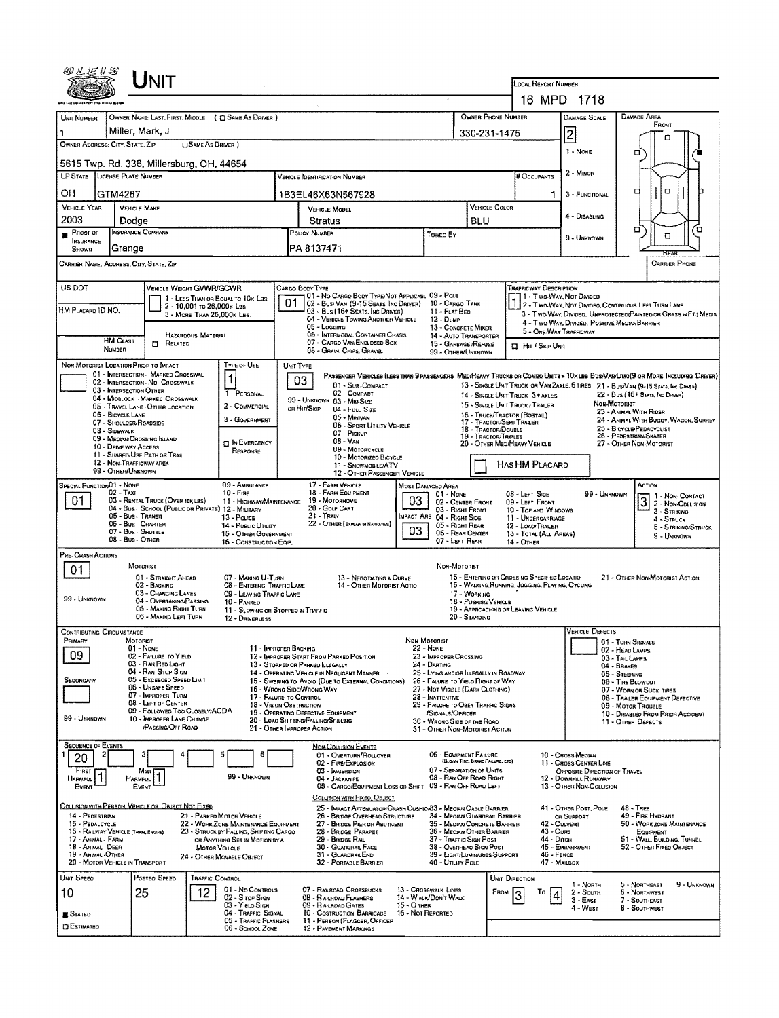|                                                                                                                                                                                                                                                                                                                                                                                                                                                             |                                                | UNIT                                                                                    |                                                         |                                                                   |                                                                              |                                                                                                                                     |                                    |                                                                                           |                                                                                                |                                                                  |                                                                                                                         |                                                                                                                        |                                                                                    |                                                 |                     |  |  |
|-------------------------------------------------------------------------------------------------------------------------------------------------------------------------------------------------------------------------------------------------------------------------------------------------------------------------------------------------------------------------------------------------------------------------------------------------------------|------------------------------------------------|-----------------------------------------------------------------------------------------|---------------------------------------------------------|-------------------------------------------------------------------|------------------------------------------------------------------------------|-------------------------------------------------------------------------------------------------------------------------------------|------------------------------------|-------------------------------------------------------------------------------------------|------------------------------------------------------------------------------------------------|------------------------------------------------------------------|-------------------------------------------------------------------------------------------------------------------------|------------------------------------------------------------------------------------------------------------------------|------------------------------------------------------------------------------------|-------------------------------------------------|---------------------|--|--|
|                                                                                                                                                                                                                                                                                                                                                                                                                                                             |                                                |                                                                                         |                                                         |                                                                   |                                                                              | LOCAL REPORT NUMBER<br>16 MPD 1718                                                                                                  |                                    |                                                                                           |                                                                                                |                                                                  |                                                                                                                         |                                                                                                                        |                                                                                    |                                                 |                     |  |  |
|                                                                                                                                                                                                                                                                                                                                                                                                                                                             |                                                |                                                                                         |                                                         |                                                                   |                                                                              |                                                                                                                                     | OWNER PHONE NUMBER                 |                                                                                           | DAMAGE SCALE                                                                                   | DAMAGE AREA                                                      |                                                                                                                         |                                                                                                                        |                                                                                    |                                                 |                     |  |  |
| OWNER NAME: LAST, FIRST, MIDDLE ( C) SAME AS DRIVER )<br>UNIT NUMBER<br>Miller, Mark, J                                                                                                                                                                                                                                                                                                                                                                     |                                                |                                                                                         |                                                         |                                                                   |                                                                              |                                                                                                                                     |                                    |                                                                                           |                                                                                                | 330-231-1475                                                     |                                                                                                                         |                                                                                                                        |                                                                                    | FRONT                                           |                     |  |  |
| OWNER ADDRESS: CITY, STATE, ZIP                                                                                                                                                                                                                                                                                                                                                                                                                             |                                                |                                                                                         | <b>SAME AS DRIVER</b> )                                 |                                                                   |                                                                              |                                                                                                                                     |                                    |                                                                                           |                                                                                                |                                                                  |                                                                                                                         | 2<br>1 - NONE                                                                                                          |                                                                                    | п                                               |                     |  |  |
| □<br>5615 Twp. Rd. 336, Millersburg, OH, 44654                                                                                                                                                                                                                                                                                                                                                                                                              |                                                |                                                                                         |                                                         |                                                                   |                                                                              |                                                                                                                                     |                                    |                                                                                           |                                                                                                |                                                                  |                                                                                                                         |                                                                                                                        |                                                                                    |                                                 |                     |  |  |
| LP STATE LICENSE PLATE NUMBER                                                                                                                                                                                                                                                                                                                                                                                                                               |                                                |                                                                                         |                                                         |                                                                   |                                                                              | <b>VEHICLE IDENTIFICATION NUMBER</b>                                                                                                |                                    |                                                                                           |                                                                                                |                                                                  | # Occupants                                                                                                             | 2 - MINOR                                                                                                              |                                                                                    |                                                 |                     |  |  |
| OН                                                                                                                                                                                                                                                                                                                                                                                                                                                          | GTM4267                                        |                                                                                         |                                                         |                                                                   |                                                                              | 1B3EL46X63N567928                                                                                                                   |                                    |                                                                                           |                                                                                                |                                                                  |                                                                                                                         | 3 - FUNCTIONAL                                                                                                         | о                                                                                  | O                                               |                     |  |  |
| VEHICLE YEAR<br>2003                                                                                                                                                                                                                                                                                                                                                                                                                                        | VEHICLE MAKE<br>Dodge                          |                                                                                         |                                                         |                                                                   |                                                                              | VEHICLE MODEL<br>Stratus                                                                                                            |                                    |                                                                                           |                                                                                                | <b>VEHICLE COLOR</b>                                             |                                                                                                                         | 4 - DISABLING                                                                                                          |                                                                                    |                                                 |                     |  |  |
| PROOF OF                                                                                                                                                                                                                                                                                                                                                                                                                                                    |                                                | INSURANCE COMPANY                                                                       |                                                         |                                                                   |                                                                              | POLICY NUMBER<br>Toweo By                                                                                                           |                                    |                                                                                           | <b>BLU</b>                                                                                     |                                                                  |                                                                                                                         | 9 - Unknown                                                                                                            | o                                                                                  | σ                                               | Έ                   |  |  |
| <b>INSURANCE</b><br>Shown                                                                                                                                                                                                                                                                                                                                                                                                                                   | Grange                                         |                                                                                         |                                                         |                                                                   |                                                                              | PA 8137471                                                                                                                          |                                    |                                                                                           |                                                                                                |                                                                  |                                                                                                                         |                                                                                                                        |                                                                                    |                                                 |                     |  |  |
| CARRIER NAME, ADDRESS, CITY, STATE, ZIP<br>CARRIER PHONE                                                                                                                                                                                                                                                                                                                                                                                                    |                                                |                                                                                         |                                                         |                                                                   |                                                                              |                                                                                                                                     |                                    |                                                                                           |                                                                                                |                                                                  |                                                                                                                         |                                                                                                                        |                                                                                    |                                                 |                     |  |  |
| US DOT<br><b>VEHICLE WEIGHT GVWR/GCWR</b><br>CARGO BODY TYPE<br><b>TRAFFICWAY DESCRIPTION</b><br>01 - No CARGO BODY TYPE/NOT APPLICABL 09 - POLE<br>1 - Two-Way, Not Divideo<br>1 - LESS THAN OR EQUAL TO 10K LBS                                                                                                                                                                                                                                           |                                                |                                                                                         |                                                         |                                                                   |                                                                              |                                                                                                                                     |                                    |                                                                                           |                                                                                                |                                                                  |                                                                                                                         |                                                                                                                        |                                                                                    |                                                 |                     |  |  |
| HM Placard ID NO.                                                                                                                                                                                                                                                                                                                                                                                                                                           |                                                |                                                                                         | 2 - 10,001 to 26,000k Lss<br>3 - MORE THAN 26.000K LBS. |                                                                   | 01                                                                           | 02 - Busi Van (9-15 Seats, Inc Driver) 10 - Cargo Tank<br>03 - Bus (16+ SEATS, INC DRIVER)                                          |                                    | 11 - FLAT BEO                                                                             |                                                                                                |                                                                  |                                                                                                                         | 2 - Two-Way, Not Divideo, Continuous Left Turn Lane<br>3 - Two Way, Divideo, Unprotecteo(Painted or Grass >4FT.) Media |                                                                                    |                                                 |                     |  |  |
|                                                                                                                                                                                                                                                                                                                                                                                                                                                             |                                                |                                                                                         |                                                         |                                                                   |                                                                              | 04 - VEHICLE TOWING ANDTHER VEHICLE<br>05 - Logging                                                                                 |                                    | 12 - Димр<br>13 - CONCRETE MIXER                                                          |                                                                                                |                                                                  |                                                                                                                         | 4 - Two-WAY, DIVIDED, POSITIVE MEDIAN BARRIER<br>5 - ONE-WAY TRAFFICWAY                                                |                                                                                    |                                                 |                     |  |  |
|                                                                                                                                                                                                                                                                                                                                                                                                                                                             | <b>HM CLASS</b><br><b>NUMBER</b>               | RELATED<br>о                                                                            | <b>HAZARDOUS MATERIAL</b>                               |                                                                   |                                                                              | 06 - INTERMODAL CONTAINER CHASIS<br>07 - CARGO VAN/ENCLOSED BOX                                                                     |                                    | 14 - Auto Transporter<br>15 - GARBAGE /REFUSE                                             |                                                                                                |                                                                  | <b>I HIT / SKIP UNIT</b>                                                                                                |                                                                                                                        |                                                                                    |                                                 |                     |  |  |
| NON-MOTORIST LOCATION PRIOR TO IMPACT                                                                                                                                                                                                                                                                                                                                                                                                                       |                                                |                                                                                         |                                                         | TYPE OF USE                                                       | UNIT TYPE                                                                    | 08 - GRAIN, CHIPS, GRAVEL                                                                                                           |                                    | 99 - OTHER/UNKNOWN                                                                        |                                                                                                |                                                                  |                                                                                                                         |                                                                                                                        |                                                                                    |                                                 |                     |  |  |
|                                                                                                                                                                                                                                                                                                                                                                                                                                                             |                                                | 01 - INTERSECTION - MARKED CROSSWAL<br>02 - INTERSECTION - NO CROSSWALK                 |                                                         | 1                                                                 |                                                                              | Passenger Venicles (less than 9 passengers MediHeavy Trucks or Combo Units > 10x lbs BusMan/Lino (9 or More Including Driver)<br>03 |                                    |                                                                                           |                                                                                                |                                                                  |                                                                                                                         |                                                                                                                        |                                                                                    |                                                 |                     |  |  |
|                                                                                                                                                                                                                                                                                                                                                                                                                                                             | 03 - INTERSECTION OTHER                        | 04 - MIDBLOCK - MARKED CROSSWALK                                                        |                                                         | 1 - PERSONAL                                                      |                                                                              | 01 - Sub - COMPACT<br>02 - COMPACT<br>99 - UNKNOWN 03 - MID SIZE                                                                    |                                    |                                                                                           |                                                                                                |                                                                  | 14 - SINGLE UNIT TRUCK : 3+ AXLES                                                                                       | 13 - SINGLE UNIT TRUCK OR VAN ZAXLE, 6 TRES 21 - BUSNAN (9-15 SENTS, INC DRIVER)                                       | 22 - Bus (16+ Stats, Inc Daven)                                                    |                                                 |                     |  |  |
|                                                                                                                                                                                                                                                                                                                                                                                                                                                             | 05 - BICYCLE LANE                              | 05 - TRAVEL LANE - OTHER LOCATION                                                       |                                                         | 2 - COMMERCIAL<br>3 - GOVERNMENT                                  |                                                                              | OR HIT/SKIP<br>04 - Futt Size<br>05 - MINIVAN                                                                                       |                                    |                                                                                           |                                                                                                | 15 - SINGLE UNIT TRUCK / TRAILER<br>16 - TRUCK/TRACTOR (BOSTAIL) |                                                                                                                         |                                                                                                                        | <b><i><u>NON-MOTORIST</u></i></b><br>23 - ANIMAL WITH RIDER                        |                                                 |                     |  |  |
|                                                                                                                                                                                                                                                                                                                                                                                                                                                             | 07 - SHOLLDER/ROADSIDE<br>08 - SIDEWALK        |                                                                                         |                                                         |                                                                   |                                                                              | <b>06 - SPORT UTILITY VEHICLE</b><br>07 - Pickup                                                                                    |                                    |                                                                                           |                                                                                                | 18 - Tractor/Double<br>19 - TRACTOR/TRPLES                       | 24 - ANIMAL WITH BUGGY, WAGON, SURREY<br>17 - TRACTOR/SEMI-TRALER<br>25 - BICYCLE/PEDACYCLIST<br>26 - PEDESTRIAN/SKATER |                                                                                                                        |                                                                                    |                                                 |                     |  |  |
|                                                                                                                                                                                                                                                                                                                                                                                                                                                             | 10 - DRIVE WAY ACCESS                          | 09 - MEDIAN/CROSSING ISLAND<br>11 - SHARED-USE PATH OR TRAIL                            |                                                         | <b>DIN EMERGENCY</b><br>RESPONSE                                  | $08 - V_{AN}$<br>09 - MOTORCYCLE                                             |                                                                                                                                     |                                    |                                                                                           |                                                                                                | 20 - OTHER MEDIMEANY VEHICLE                                     |                                                                                                                         |                                                                                                                        | 27 - OTHER NON-MOTORIST                                                            |                                                 |                     |  |  |
|                                                                                                                                                                                                                                                                                                                                                                                                                                                             | 12 - NON-TRAFFICWAY AREA<br>99 - OTHER/UNKNOWN |                                                                                         |                                                         |                                                                   | 10 - Motorized Bicycle<br>11 - SNOWMOBILEATV<br>12 - OTHER PASSENGER VEHICLE |                                                                                                                                     |                                    |                                                                                           |                                                                                                |                                                                  | Has HM Placard                                                                                                          |                                                                                                                        |                                                                                    |                                                 |                     |  |  |
| SPECIAL FUNCTION 01 - NONE                                                                                                                                                                                                                                                                                                                                                                                                                                  |                                                |                                                                                         |                                                         | 09 - AMBULANCE                                                    |                                                                              | 17 - FARM VEHICLE                                                                                                                   |                                    | MOST DAMAGEO AREA                                                                         |                                                                                                |                                                                  |                                                                                                                         |                                                                                                                        |                                                                                    | ACTION                                          |                     |  |  |
| 01                                                                                                                                                                                                                                                                                                                                                                                                                                                          | $02 - TAXI$                                    | 03 - RENTAL TRUCK (OVER 10K LBS)<br>04 - Bus - School (Public or Private) 12 - Military |                                                         | $10 -$ Fine<br>11 - HIGHWAY/MAINTENANCE                           | 18 - FARM EQUIPMENT<br>01 - None<br>19 - Мотояноме<br>03<br>20 - GOLF CART   |                                                                                                                                     |                                    |                                                                                           | 99 - UNKNOWN<br>08 - LEFT SIDE<br>02 - CENTER FRONT<br>09 - LEFT FRONT<br>10 - TOP AND WINDOWS |                                                                  |                                                                                                                         |                                                                                                                        |                                                                                    | 1 - Non-Contact<br>3 2 - Non-Correct            |                     |  |  |
|                                                                                                                                                                                                                                                                                                                                                                                                                                                             | 05 - Bus - Transit<br>06 - Bus - Charter       |                                                                                         |                                                         | 13 - POLICE<br>14 - PUBLIC UTILITY                                |                                                                              | 21 - TRAIN<br>22 - OTHER (EXPLAN IN NARRANNE)                                                                                       |                                    | 03 - Right Front<br>IMPACT ARE 04 - RIGHT SIDE<br>05 - RIGHT REAR                         |                                                                                                |                                                                  | 11 - UNDERCARRIAGE<br>12 - LOAO/TRALER                                                                                  |                                                                                                                        |                                                                                    | 3 - STRIKINO<br>4 - STRUCK                      |                     |  |  |
|                                                                                                                                                                                                                                                                                                                                                                                                                                                             | 07 - Bus - Shuttle<br>08 - Bus - OTHER         |                                                                                         |                                                         | 15 - OTHER GOVERNMENT<br>16 - CONSTRUCTION EQIP.                  |                                                                              |                                                                                                                                     | 03                                 | 06 - REAR CENTER<br>07 - LEFT REAR                                                        |                                                                                                | 14 - OTHER                                                       | 13 - TOTAL (ALL AREAS)                                                                                                  |                                                                                                                        |                                                                                    | 9 - UNKNOWN                                     | 5 - STRIKING/STRUCK |  |  |
| PRE-CRASH ACTIONS                                                                                                                                                                                                                                                                                                                                                                                                                                           |                                                |                                                                                         |                                                         |                                                                   |                                                                              |                                                                                                                                     |                                    |                                                                                           |                                                                                                |                                                                  |                                                                                                                         |                                                                                                                        |                                                                                    |                                                 |                     |  |  |
| 01                                                                                                                                                                                                                                                                                                                                                                                                                                                          |                                                | MOTORIST<br>01 - STRAIGHT AHEAD                                                         |                                                         | 07 - MAKING U-TURN                                                |                                                                              | 13 - Negotiating a Curve                                                                                                            |                                    | NON-MOTORIST                                                                              |                                                                                                |                                                                  | 15 - ENTERINO OR CROSSING SPECIFIED LOCATIO                                                                             |                                                                                                                        | 21 - OTHER NON-MOTORIST ACTION                                                     |                                                 |                     |  |  |
| 99 - UNKNOWN                                                                                                                                                                                                                                                                                                                                                                                                                                                |                                                | 02 - BACKING<br>03 - CHANGING LANES                                                     |                                                         | 08 - ENTERING TRAFFIC LANE<br>09 - LEAVING TRAFFIC LANE           |                                                                              | 14 - OTHER MOTORIST ACTIO                                                                                                           |                                    |                                                                                           | 17 - WORKING                                                                                   |                                                                  | 16 - WALKING.RUNNING, JOGGING, PLAYING, CYCLING                                                                         |                                                                                                                        |                                                                                    |                                                 |                     |  |  |
|                                                                                                                                                                                                                                                                                                                                                                                                                                                             |                                                | 04 - OVERTAKING/PASSING<br>05 - MAKING RIGHT TURN<br>06 - MAKING LEFT TURN              |                                                         | 10 - PARKED<br>11 - SLOWING OR STOPPEO IN TRAFFIC                 |                                                                              |                                                                                                                                     |                                    |                                                                                           | 18 - Puseino Vehicle<br>20 - STANDING                                                          |                                                                  | 19 - APPROACHING OR LEAVING VEHICLE                                                                                     |                                                                                                                        |                                                                                    |                                                 |                     |  |  |
| <b>CONTRIBUTING CIRCUMSTANCE</b>                                                                                                                                                                                                                                                                                                                                                                                                                            |                                                |                                                                                         |                                                         | 12 - DRIVERLESS                                                   |                                                                              |                                                                                                                                     |                                    |                                                                                           |                                                                                                |                                                                  |                                                                                                                         | <b>VEHICLE DEFECTS</b>                                                                                                 |                                                                                    |                                                 |                     |  |  |
| Primary                                                                                                                                                                                                                                                                                                                                                                                                                                                     | <b>MOTORIST</b>                                | $01 - None$                                                                             |                                                         | 11 - IMPROPER BACKING                                             |                                                                              |                                                                                                                                     | NON-MOTORIST                       | 22 - None                                                                                 |                                                                                                |                                                                  |                                                                                                                         |                                                                                                                        | 01 - TURN SIGNALS<br>02 - HEAD LAMPS                                               |                                                 |                     |  |  |
| 09                                                                                                                                                                                                                                                                                                                                                                                                                                                          |                                                | 02 - FAILURE TO YIELD<br>03 - RAN RED LIGHT                                             |                                                         |                                                                   |                                                                              | 12 - IMPROPER START FROM PARKEO POSITION<br>13 - STOPPED OR PARKED LLEGALLY                                                         |                                    | 23 - IMPROPER CROSSING<br>24 - DARTING                                                    |                                                                                                |                                                                  |                                                                                                                         |                                                                                                                        | 03 - TAIL LAMPS<br>04 - BRAKES                                                     |                                                 |                     |  |  |
| SECONGARY                                                                                                                                                                                                                                                                                                                                                                                                                                                   |                                                | 04 - RAN STOP SIGN<br>05 - Excesoso Speso Limit<br>06 - UNSAFE SPEED                    |                                                         |                                                                   |                                                                              | 14 - OPERATING VEHICLE IN NEGLIGENT MANNER<br>15 - SWERING TO AVOID (DUE TO EXTERNAL CONDITIONS)                                    |                                    | 25 - LYING AND/OR ILLEGALLY IN ROADWAY<br>26 - FALURE TO YIELD RIGHT OF WAY               |                                                                                                |                                                                  |                                                                                                                         |                                                                                                                        | 05 - STEERING<br>06 - TIRE BLOWOUT                                                 |                                                 |                     |  |  |
|                                                                                                                                                                                                                                                                                                                                                                                                                                                             |                                                | 07 - IMPROPER TURN<br>08 - LEFT OF CENTER                                               |                                                         | 17 - FALURE TO CONTROL<br>18 - Vision Osstruction                 |                                                                              | 16 - Wrong Side/Wrong Way                                                                                                           |                                    | 27 - NOT VISIBLE (DARK CLOTHING)<br>28 - INATTENTME<br>29 - FAILURE TO OBEY TRAFFIC SIGNS |                                                                                                |                                                                  |                                                                                                                         |                                                                                                                        | 07 - WORN OR SLICK TIRES<br>08 - TRAILER EQUIPMENT DEFECTIVE<br>09 - MOTOR TROUBLE |                                                 |                     |  |  |
| 99 - UNKNOWN                                                                                                                                                                                                                                                                                                                                                                                                                                                |                                                | 09 - FOLLOWED TOO CLOSELY/ACDA<br>10 - IMPROPER LANE CHANGE                             |                                                         |                                                                   |                                                                              | 19 - OPERATING DEFECTIVE EQUIPMENT<br>20 - LOAO SHIFTING/FALLING/SPILLING                                                           |                                    | /SIGNALS/OFFICER<br>30 - WRONG SIDE OF THE ROAD                                           |                                                                                                |                                                                  |                                                                                                                         |                                                                                                                        | 10 - Disableo From Prior Accident<br>11 - OTHER DEFECTS                            |                                                 |                     |  |  |
|                                                                                                                                                                                                                                                                                                                                                                                                                                                             |                                                | /PASSING/OFF ROAD                                                                       |                                                         |                                                                   |                                                                              | 21 - Отнея Імряорея Астіон                                                                                                          |                                    | 31 - OTHER NON-MOTORIST ACTION                                                            |                                                                                                |                                                                  |                                                                                                                         |                                                                                                                        |                                                                                    |                                                 |                     |  |  |
| <b>SEQUENCE OF EVENTS</b><br>2<br>20                                                                                                                                                                                                                                                                                                                                                                                                                        |                                                |                                                                                         |                                                         | 5<br>6                                                            |                                                                              | NON-COLLISION EVENTS<br>01 - OVERTURN/ROLLOVER                                                                                      |                                    | 06 - EQUIPMENT FAILURE                                                                    |                                                                                                |                                                                  |                                                                                                                         | 10 - Cross Meoran                                                                                                      |                                                                                    |                                                 |                     |  |  |
| First                                                                                                                                                                                                                                                                                                                                                                                                                                                       |                                                | Most                                                                                    |                                                         | 99 - UNKNOWN                                                      |                                                                              | 02 - FIRE/EXPLOSION<br>03 - IMMERSION                                                                                               |                                    | 07 - Separation of Units                                                                  | (BLOWN TIRE, SRAKE FAQURE, ETC)                                                                |                                                                  |                                                                                                                         | 11 - CROSS CENTER LINE<br>OPPOSITE DIRECTION OF TRAVEL                                                                 |                                                                                    |                                                 |                     |  |  |
| <b>HARMFUL</b><br>Event                                                                                                                                                                                                                                                                                                                                                                                                                                     | <b>HARMFUL</b>                                 | EVENT                                                                                   |                                                         |                                                                   |                                                                              | 04 - JACKKNIFE<br>05 - CARGO/EQUIPMENT LOSS OR SHIFT                                                                                |                                    | 08 - RAN OFF ROAD RIGHT<br>09 - RAN OFF ROAD LEFT                                         |                                                                                                |                                                                  |                                                                                                                         | 12 - DOWNHILL RUNAWAY<br>13 - OTHER NON-COLLISION                                                                      |                                                                                    |                                                 |                     |  |  |
| COLUSION WITH PERSON, VEHICLE OR OBJECT NOT FIXED                                                                                                                                                                                                                                                                                                                                                                                                           |                                                |                                                                                         |                                                         |                                                                   |                                                                              | COLLISION WITH FIXED, OBJECT<br>25 - IMPACT ATTENUATOR/CRASH CUSHION33 - MEOIAN CABLE BARRIER                                       |                                    |                                                                                           |                                                                                                |                                                                  |                                                                                                                         | 41 - OTHER POST, POLE                                                                                                  | <b>48 - TREE</b>                                                                   |                                                 |                     |  |  |
| 14 - PEDESTRIAN<br>15 - PEDALCYCLE                                                                                                                                                                                                                                                                                                                                                                                                                          |                                                |                                                                                         |                                                         | 21 - PARKED MOTOR VEHICLE<br>22 - WORK ZONE MAINTENANCE EQUIPMENT |                                                                              | 26 - BRIDGE OVERHEAD STRUCTURE<br>27 - BRIDGE PIER OR ABUTMENT                                                                      |                                    | 34 - Meovan Guardrall Barrier<br>35 - Median Concrete Barrier                             |                                                                                                |                                                                  | 42 - CULVERT                                                                                                            | OR SUPPORT                                                                                                             |                                                                                    | 49 - FIRE HYDRANT<br>50 - WORK ZONE MAINTENANCE |                     |  |  |
| 43 - Cune<br>16 - RAILWAY VEHICLE (TAAN, ENGINE)<br>23 - STRUCK BY FALLING, SHIFTING CARGO<br>28 - BRIDGE PARAPET<br>36 - MEOIAN OTHER BARRIER<br>EQUIPMENT<br>29 - Bridge Rail<br>37 - TRAFFIC SIGN POST<br>44 - Олсн<br>51 - WALL, BUILDING, TUNNEL<br>17 - Animal - Farm<br>OR ANYTHING SET IN MOTION BY A<br>18 - Animal - Deer<br>38 - OVERHEAD SIGN POST<br>45 - EMBANKMENT<br>52 - OTHER FIXED OBJECT<br>30 - GUARORAIL FACE<br><b>MOTOR VEHICLE</b> |                                                |                                                                                         |                                                         |                                                                   |                                                                              |                                                                                                                                     |                                    |                                                                                           |                                                                                                |                                                                  |                                                                                                                         |                                                                                                                        |                                                                                    |                                                 |                     |  |  |
| 19 - ANIMAL OTHER<br>20 - MOTOR VEHICLE IN TRANSPORT                                                                                                                                                                                                                                                                                                                                                                                                        |                                                |                                                                                         |                                                         | 24 - OTHER MOVABLE OBJECT                                         |                                                                              | 31 - GUARDRAILEND<br>32 - PORTABLE BARRIER                                                                                          |                                    | 39 - LIGHT/LUMINARIES SUPPORT<br>40 - UTILITY POLE                                        |                                                                                                |                                                                  | 46 - FENCE<br>47 - MAILBOX                                                                                              |                                                                                                                        |                                                                                    |                                                 |                     |  |  |
| UNIT SPEED                                                                                                                                                                                                                                                                                                                                                                                                                                                  |                                                | POSTED SPEED                                                                            | TRAFFIC CONTROL                                         |                                                                   |                                                                              |                                                                                                                                     |                                    |                                                                                           |                                                                                                | UNIT DIRECTION                                                   |                                                                                                                         | 1 - North                                                                                                              | 5 - NORTHEAST                                                                      |                                                 | 9 - UNKNOWN         |  |  |
| 10                                                                                                                                                                                                                                                                                                                                                                                                                                                          |                                                | 25                                                                                      | 12                                                      | 01 - No Controls<br>02 - S TOP SIGN                               |                                                                              | 07 - RAILROAD CROSSBUCKS<br>08 - RANROAD FLASHERS                                                                                   |                                    | 13 - CROSSWALK LINES<br>14 - WALK/DON'T WALK                                              |                                                                                                | From                                                             | Τo                                                                                                                      | $2 -$ South<br>$3 - EAST$                                                                                              | 6 - NORTHWEST<br>7 - SOUTHEAST                                                     |                                                 |                     |  |  |
| <b>B</b> Stated                                                                                                                                                                                                                                                                                                                                                                                                                                             |                                                |                                                                                         |                                                         | 03 - Yielo Sign<br>04 - TRAFFIC SIGNAL                            |                                                                              | 09 - RAILROAD GATES<br>10 - COSTRUCTION BARRICADE                                                                                   | $15 - O$ THER<br>16 - Not Reported |                                                                                           |                                                                                                |                                                                  |                                                                                                                         | 4 - West                                                                                                               | 8 - Southwest                                                                      |                                                 |                     |  |  |
| <b>C ESTIMATED</b>                                                                                                                                                                                                                                                                                                                                                                                                                                          |                                                |                                                                                         |                                                         | 05 - TRAFFIC FLASHERS<br>06 - SCHOOL ZONE                         |                                                                              | 11 - PERSON (FLAGGER, OFFICER<br>12 - PAVEMENT MARKINGS                                                                             |                                    |                                                                                           |                                                                                                |                                                                  |                                                                                                                         |                                                                                                                        |                                                                                    |                                                 |                     |  |  |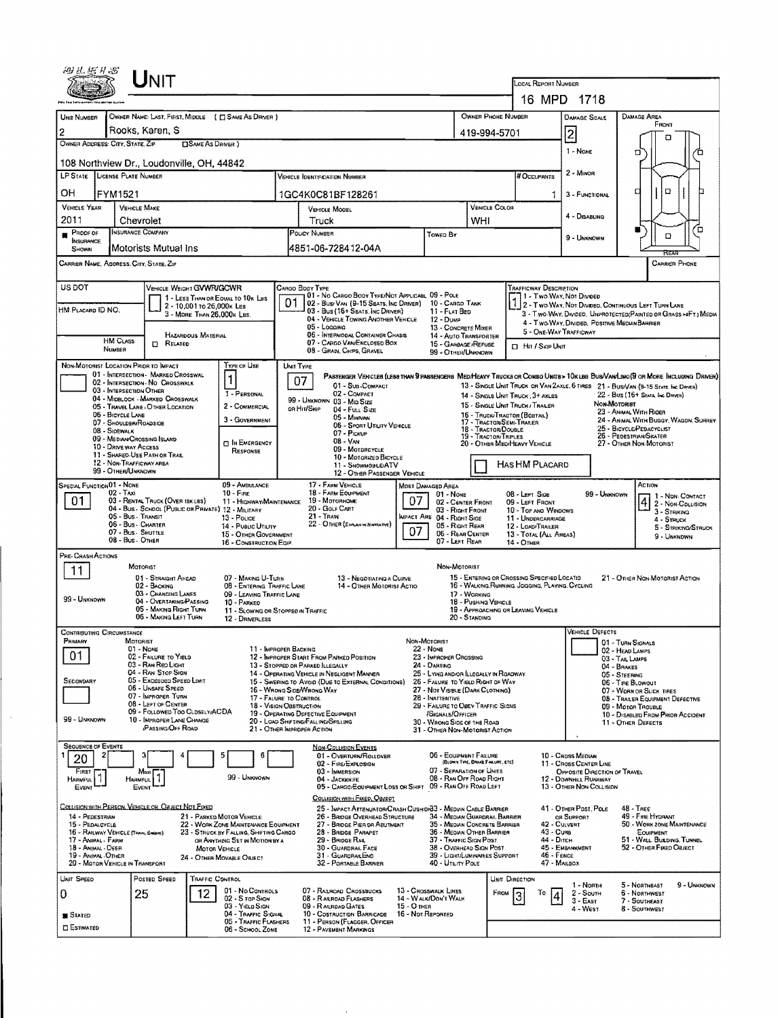| Unit                                                                                                                                                           |                                                                              |                                                                                         |                            |                                                                                                             |                                  |                                                                                                                     |                                                                                               |                   |                                                                                            |                                       | LOCAL REPORT NUMBER<br>16 MPD 1718                                                                                                                                     |                                                                                                                         |                                                                                 |                          |                                                                                   |                                                                                                                              |  |  |
|----------------------------------------------------------------------------------------------------------------------------------------------------------------|------------------------------------------------------------------------------|-----------------------------------------------------------------------------------------|----------------------------|-------------------------------------------------------------------------------------------------------------|----------------------------------|---------------------------------------------------------------------------------------------------------------------|-----------------------------------------------------------------------------------------------|-------------------|--------------------------------------------------------------------------------------------|---------------------------------------|------------------------------------------------------------------------------------------------------------------------------------------------------------------------|-------------------------------------------------------------------------------------------------------------------------|---------------------------------------------------------------------------------|--------------------------|-----------------------------------------------------------------------------------|------------------------------------------------------------------------------------------------------------------------------|--|--|
|                                                                                                                                                                |                                                                              |                                                                                         |                            |                                                                                                             |                                  |                                                                                                                     |                                                                                               |                   |                                                                                            | OWNER PHONE NUMBER                    |                                                                                                                                                                        |                                                                                                                         |                                                                                 |                          |                                                                                   |                                                                                                                              |  |  |
| UNIT NUMBER                                                                                                                                                    | OWNER NAME: LAST, FIRST, MIDDLE (C) SAME AS DRIVER )<br>Rooks, Karen, S<br>2 |                                                                                         |                            |                                                                                                             |                                  |                                                                                                                     |                                                                                               |                   |                                                                                            |                                       |                                                                                                                                                                        |                                                                                                                         | <b>DAMAGE SCALE</b>                                                             |                          | <b>DAMAGE AREA</b><br><b>FRONT</b>                                                |                                                                                                                              |  |  |
| OWNER ADDRESS: CITY, STATE, ZIP<br><b>CISAME AS DRIVER</b> )                                                                                                   |                                                                              |                                                                                         |                            |                                                                                                             |                                  |                                                                                                                     |                                                                                               |                   |                                                                                            |                                       | $\overline{2}$<br>419-994-5701<br>□<br>1 - None                                                                                                                        |                                                                                                                         |                                                                                 |                          |                                                                                   |                                                                                                                              |  |  |
|                                                                                                                                                                | о<br>108 Northview Dr., Loudonville, OH, 44842                               |                                                                                         |                            |                                                                                                             |                                  |                                                                                                                     |                                                                                               |                   |                                                                                            |                                       |                                                                                                                                                                        |                                                                                                                         |                                                                                 |                          |                                                                                   |                                                                                                                              |  |  |
| LP STATE LICENSE PLATE NUMBER<br><b>VEHICLE IDENTE CATION NUMBER</b>                                                                                           |                                                                              |                                                                                         |                            |                                                                                                             |                                  |                                                                                                                     |                                                                                               |                   |                                                                                            |                                       |                                                                                                                                                                        | # Occupants                                                                                                             | 2 - MINOR                                                                       |                          |                                                                                   |                                                                                                                              |  |  |
| ОH                                                                                                                                                             | FYM1521                                                                      |                                                                                         |                            |                                                                                                             |                                  | 1GC4K0C81BF128261                                                                                                   |                                                                                               |                   |                                                                                            |                                       |                                                                                                                                                                        | 1.                                                                                                                      |                                                                                 | O<br>а<br>3 - FUNCTIONAL |                                                                                   |                                                                                                                              |  |  |
| <b>VEHICLE YEAR</b><br>2011                                                                                                                                    |                                                                              | <b>VEHICLE MAKE</b><br>Chevrolet                                                        |                            |                                                                                                             | VEHICLE MODEL<br>Truck           |                                                                                                                     |                                                                                               |                   |                                                                                            | VEHICLE COLOR<br><b>WHI</b>           |                                                                                                                                                                        |                                                                                                                         | 4 - Disabling                                                                   |                          |                                                                                   |                                                                                                                              |  |  |
| PROOF OF                                                                                                                                                       |                                                                              | INSURANCE COMPANY                                                                       |                            |                                                                                                             |                                  | POLICY NUMBER<br><b>Towen By</b>                                                                                    |                                                                                               |                   |                                                                                            |                                       |                                                                                                                                                                        |                                                                                                                         | 9 - Unknown                                                                     |                          | n                                                                                 | Έ<br>O                                                                                                                       |  |  |
| INSURANCE<br>SHOWN                                                                                                                                             |                                                                              | Motorists Mutual Ins                                                                    |                            |                                                                                                             |                                  | 4851-06-728412-04A                                                                                                  |                                                                                               |                   |                                                                                            |                                       |                                                                                                                                                                        |                                                                                                                         |                                                                                 |                          |                                                                                   |                                                                                                                              |  |  |
|                                                                                                                                                                |                                                                              | CARRIER NAME, ADORESS, CITY, STATE, ZIP                                                 |                            |                                                                                                             |                                  |                                                                                                                     |                                                                                               |                   |                                                                                            |                                       |                                                                                                                                                                        |                                                                                                                         |                                                                                 |                          |                                                                                   | CARRIER PHONE                                                                                                                |  |  |
| US DOT<br>TRAFFICWAY DESCRIPTION<br>VEHICLE WEIGHT GVWR/GCWR<br>Cargo Body Type<br>01 - No CARGO BODY TYPE/NOT APPLICABL 09 - POLE<br>1 - Two Way, Not Divided |                                                                              |                                                                                         |                            |                                                                                                             |                                  |                                                                                                                     |                                                                                               |                   |                                                                                            |                                       |                                                                                                                                                                        |                                                                                                                         |                                                                                 |                          |                                                                                   |                                                                                                                              |  |  |
| HM PLACARD ID NO.                                                                                                                                              |                                                                              |                                                                                         | 2 - 10,001 to 26,000k Lss  | 1 - LESS THAN OR EQUAL TO 10K LBS                                                                           | 01                               |                                                                                                                     | 02 - Busi Van (9-15 Seats, Inc Driver) 10 - Cargo Tank<br>03 - Bus (16+ Seats, Inc DRIVER)    |                   | 11 - FLAT BED                                                                              |                                       |                                                                                                                                                                        |                                                                                                                         |                                                                                 |                          | 2 - Two Way, Not Divedd, Continuous Left Turn Lane                                |                                                                                                                              |  |  |
|                                                                                                                                                                |                                                                              |                                                                                         | 3 - MORE THAN 26,000K LBS. |                                                                                                             |                                  | 05 - Logging                                                                                                        | 04 - VEHICLE TOWING ANOTHER VEHICLE                                                           |                   | $12 - D$ ume<br>13 - CONCRETE MIXER                                                        |                                       |                                                                                                                                                                        |                                                                                                                         |                                                                                 |                          | 4 - Two-Way, Divided. Positive Median Barrier                                     | 3 - Two-WAY, Divided, UNPROTECTED (PAINTED OR GRASS >4FT.) MEDIA                                                             |  |  |
|                                                                                                                                                                | <b>HM CLASS</b>                                                              | <b>ELATED</b>                                                                           | HAZARDOUS MATERIAL         |                                                                                                             |                                  |                                                                                                                     | 06 - INTERMODAL CONTAINER CHASIS<br>07 - CARGO VAN ENCLOSED BOX                               |                   | 14 - AUTO TRANSPORTER<br>15 - GARBAGE / REFUSE                                             |                                       |                                                                                                                                                                        | 5 - ONE-WAY TRAFFICWAY<br><b>D</b> Har / Skip Unit                                                                      |                                                                                 |                          |                                                                                   |                                                                                                                              |  |  |
|                                                                                                                                                                | <b>NUMBER</b>                                                                | NON-MOTORIST LOCATION PRIOR TO IMPACT                                                   |                            | TYPE OF USE                                                                                                 |                                  | 08 - GRAN, CHIPS, GRAVEL<br>UNIT TYPE                                                                               |                                                                                               |                   | 99 - OTHER/UNKNOWN                                                                         |                                       |                                                                                                                                                                        |                                                                                                                         |                                                                                 |                          |                                                                                   |                                                                                                                              |  |  |
|                                                                                                                                                                |                                                                              | 01 - INTERSECTION - MARKED CROSSWAL<br>02 - INTERSECTION - NO CROSSWALK                 |                            | 1                                                                                                           |                                  | 07                                                                                                                  |                                                                                               |                   |                                                                                            |                                       |                                                                                                                                                                        |                                                                                                                         |                                                                                 |                          |                                                                                   | PASSENGER VEHICLES (LESS THAN 9 PASSENGERS MED/HEAVY TRUCKS OR COMBO UNITS > 10KLBS BUS/VAN/LIMO(9 OR MORE INCLUDING DRIVER) |  |  |
|                                                                                                                                                                | 03 - INTERSECTION OTHER                                                      | 04 - MIDBLOCK - MARKED CROSSWALK                                                        |                            | 1 - PERSONAL                                                                                                |                                  | 99 - UNKNOWN 03 - MID SIZE                                                                                          | 01 - Sus-Compact<br>02 - COMPACT                                                              |                   |                                                                                            |                                       |                                                                                                                                                                        | 13 - SINGLE LINIT TRUCK OR VAN ZAXLE, 6 TIRES 21 - BUS/VAN (9-15 SEATS, Inc. DAVER)<br>14 - SINGLE UNIT TRUCK: 3+ AXLES |                                                                                 |                          | 22 - Bus (16+ Seats, Inc Direct)                                                  |                                                                                                                              |  |  |
|                                                                                                                                                                | 06 - BICYCLE LANE                                                            | 05 TRAVEL LANE - OTHER LOCATION                                                         |                            | 2 - COMMERCIAL<br>3 - GOVERNMENT                                                                            |                                  | or Hit/Skip                                                                                                         | 04 - FULL SIZE<br>05 - Minivan                                                                |                   |                                                                                            |                                       |                                                                                                                                                                        | 15 - SINGLE LINIT TRUCK / TRALER<br>16 - TRUCK/TRACTOR (BOSTAIL)                                                        |                                                                                 | Non-Motorist             | 23 - ANIMAL WITH RIDER                                                            |                                                                                                                              |  |  |
|                                                                                                                                                                | 07 - SHOULDER/ROADSIDE<br>08 - SIDEWALK                                      |                                                                                         |                            |                                                                                                             |                                  |                                                                                                                     | 06 - SPORT UTILITY VEHICLE<br>07 - Pickup                                                     |                   |                                                                                            |                                       | 24 - ANIMAL WITH BUGGY, WAGON, SURREY<br>17 - TRACTOR/SEMI-TRANER<br>25 - BICYCLE/PEDACYCLIST<br>18 - Tractor Double<br>26 - PEDESTRIAN/SKATER<br>19 - TRACTOR/TRIPLES |                                                                                                                         |                                                                                 |                          |                                                                                   |                                                                                                                              |  |  |
|                                                                                                                                                                | <b>10 - DRIVE WAY ACCESS</b>                                                 | 09 - MEDIAN/CROSSING ISLAND<br>11 - SHARED-USE PATH OR TRAIL                            |                            | <b>DIN EMERGENCY</b><br>RESPONSE                                                                            | $08 - V_{AN}$<br>09 - MOTORCYCLE |                                                                                                                     |                                                                                               |                   |                                                                                            |                                       |                                                                                                                                                                        | 20 - OTHER MEDIHEAVY VEHICLE                                                                                            |                                                                                 |                          | 27 - OTHER NON-MOTORIST                                                           |                                                                                                                              |  |  |
|                                                                                                                                                                | 99 - OTHER/UNKNDWN                                                           | 12 - NON-TRAFFICWAY AREA                                                                |                            |                                                                                                             |                                  |                                                                                                                     | 10 - Moronizeo Bicycle<br>11 - SNOWMOBILE/ATV<br>12 - OTHER PASSENGER VEHICLE                 |                   |                                                                                            |                                       |                                                                                                                                                                        | HAS HM PLACARD                                                                                                          |                                                                                 |                          |                                                                                   |                                                                                                                              |  |  |
| SPECIAL FUNCTION 01 - NONE                                                                                                                                     |                                                                              |                                                                                         |                            | 09 - AMBULANCE                                                                                              |                                  | 17 - FARM VEHICLE                                                                                                   |                                                                                               |                   | MOST DAMAGED AREA                                                                          |                                       |                                                                                                                                                                        |                                                                                                                         |                                                                                 |                          | ACTION                                                                            |                                                                                                                              |  |  |
| 01                                                                                                                                                             | $02 - Tax1$                                                                  | 03 - RENTAL TRUCK (OVER 10K LBS)<br>04 - Bus - SCHOOL (PUBLIC OR PRIVATE) 12 - MILITARY |                            | $10 -$ Fine<br>11 - HIGHWAY/MAINTENANCE                                                                     |                                  | 18 - FARM EQUIPMENT<br>19 - Мотокноме<br>20 - Gour CART                                                             |                                                                                               | 07                | 01 - NONE<br>02 - CENTER FRONT                                                             |                                       |                                                                                                                                                                        | 08 - LEFT SIDE<br>09 - LEFT FRONT                                                                                       |                                                                                 | 99 - UNKNOWN             |                                                                                   | 1 - NON CONTACT<br>4 2 - NON-COLLISION                                                                                       |  |  |
|                                                                                                                                                                |                                                                              | 05 - Bus - Transit<br>06 - Bus - Charter                                                |                            | 13 - Pouce<br>14 Pusuc Utiutry                                                                              |                                  | 03 - Right Front<br>$21 -$ Tran<br>MPACT ARE 04 - RIGHT SIDE<br>22 - OTHER (EXPLAN IN NARRATIVE)<br>05 - Right Rear |                                                                                               |                   |                                                                                            |                                       |                                                                                                                                                                        | 10 - TOP AND WINDOWS<br>11 - UNDERCARRIAGE<br>4 - STRUCK<br>12 - LOAD/TRAILER                                           |                                                                                 |                          |                                                                                   |                                                                                                                              |  |  |
|                                                                                                                                                                | 08 - Bus - OTHER                                                             | 07 - Bus - SHUTTLE                                                                      |                            | 15 - OTHER GOVERNMENT<br>16 - CONSTRUCTION EQIP.                                                            |                                  |                                                                                                                     |                                                                                               | 07                | 06 - REAR CENTER<br>07 - LEFT REAR                                                         |                                       |                                                                                                                                                                        | 13 - TOTAL (ALL AREAS)<br>14 - Отнен                                                                                    |                                                                                 |                          |                                                                                   | 5 - STRIKWO/STRUCK<br>9 - UNKNOWN                                                                                            |  |  |
| PRE-CRASH ACTIONS                                                                                                                                              |                                                                              |                                                                                         |                            |                                                                                                             |                                  |                                                                                                                     |                                                                                               |                   |                                                                                            |                                       |                                                                                                                                                                        |                                                                                                                         |                                                                                 |                          |                                                                                   |                                                                                                                              |  |  |
| 11                                                                                                                                                             |                                                                              | MOTORIST<br>01 - STRAIGHT AHEAD                                                         |                            | 07 - MAKING U-TURN                                                                                          |                                  |                                                                                                                     | 13 - NEGOTIATING A CURVE                                                                      |                   | NON-MOTORIST                                                                               |                                       |                                                                                                                                                                        | 15 - ENTERING OR CROSSING SPECIFIED LOCATIO                                                                             |                                                                                 |                          | 21 - OTHER NON-MOTORIST ACTION                                                    |                                                                                                                              |  |  |
| 99 - UNKNOWN                                                                                                                                                   |                                                                              | 02 - BACKING<br>03 - CHANGING LANES                                                     |                            | 08 - ENTERING TRAFFIC LANE<br>09 - LEAVING TRAFFIC LANE                                                     |                                  |                                                                                                                     | 14 - OTHER MOTORIST ACTIO                                                                     |                   |                                                                                            | 17 - WORKING                          |                                                                                                                                                                        | 16 - WALKING RUMNING, JOGGING, PLAYING, CYCLING                                                                         |                                                                                 |                          |                                                                                   |                                                                                                                              |  |  |
|                                                                                                                                                                |                                                                              | 04 - OVERTAKING/PASSING<br>05 - MAKING RIGHT TURN<br>06 - MAKING LEFT TURN              |                            | 10 - PARKED<br>11 - SLOWING OR STOPPED IN TRAFFIC                                                           |                                  |                                                                                                                     |                                                                                               |                   |                                                                                            | 18 - Pushing VEHICLE<br>20 - STANDING |                                                                                                                                                                        | 19 - APPROACHING OR LEAVING VEHICLE                                                                                     |                                                                                 |                          |                                                                                   |                                                                                                                              |  |  |
| <b>CONTRIBUTING CIRCUMSTANCE</b>                                                                                                                               |                                                                              |                                                                                         |                            | 12 - DRIVERLESS                                                                                             |                                  |                                                                                                                     |                                                                                               |                   |                                                                                            |                                       |                                                                                                                                                                        |                                                                                                                         | VEHICLE DEFECTS                                                                 |                          |                                                                                   |                                                                                                                              |  |  |
| Freaary                                                                                                                                                        |                                                                              | MOTORIST<br>$01 - N$ DNE                                                                |                            | 11 - IMPROPER BACKING                                                                                       |                                  |                                                                                                                     |                                                                                               |                   | NON-MOTORIST<br>22 - None                                                                  |                                       |                                                                                                                                                                        |                                                                                                                         |                                                                                 |                          | 01 - TURN SIGNALS<br>02 - HEAD LAMPS                                              |                                                                                                                              |  |  |
| 01                                                                                                                                                             |                                                                              | 02 - FAILURE TO YIELD<br>03 - RAN RED LIGHT                                             |                            |                                                                                                             |                                  | 12 - IMPROPER START FROM PARKED POSITION<br>13 - STOPPED OR PARKED ILLEGALLY                                        |                                                                                               |                   | 23 - IMPROPER CROSSING<br>24 - DARTING                                                     |                                       |                                                                                                                                                                        |                                                                                                                         |                                                                                 |                          | 03 - TAIL LAMPS<br>04 - BRAKES                                                    |                                                                                                                              |  |  |
| <b>SECONDARY</b>                                                                                                                                               |                                                                              | 04 - RAN STOP SIGN<br>05 - Excesped Speed Limit<br>06 - UNSAFE SPEED                    |                            |                                                                                                             |                                  | 14 - OPERATING VEHICLE IN NEGLIGENT MANNER<br>15 - SWERING TO AVOID (DUE TO EXTERNAL CONDITIONS)                    |                                                                                               |                   | 25 - LYING AND/OR ILLEGALLY IN ROADWAY<br>26 - FALURE TO YIELD RIGHT OF WAY                |                                       |                                                                                                                                                                        |                                                                                                                         |                                                                                 |                          | 05 - STEERING<br>06 - TIRE BLOWOUT                                                |                                                                                                                              |  |  |
|                                                                                                                                                                |                                                                              | 07 - IMPROPER TURN<br>08 - LEFT OF CENTER                                               |                            | 17 - FALURE TO CONTROL<br>18 - Vision Osstruction                                                           |                                  | 16 - WRONG SIDE/WRONG WAY                                                                                           |                                                                                               |                   | 27 - Not Visible (Dark Clothing)<br>28 - INATTENTIVE<br>29 - FAILURE TO OBEY TRAFFIC SIGNS |                                       |                                                                                                                                                                        |                                                                                                                         |                                                                                 |                          | 07 - WORN OR SLICK TIRES<br>08 - TRALER EQUIPMENT DEFECTIVE<br>09 - Motor TrousLE |                                                                                                                              |  |  |
| 99 - UNKNOWN                                                                                                                                                   |                                                                              | 09 - FOLLOWED TOO CLDSELY/ACDA<br>10 - IMPROPER LANE CHANGE                             |                            |                                                                                                             |                                  | 19 - OPERATING DEFECTIVE EQUIPMENT<br>20 - LOAD SHIFTING/FALLING/SPILLING                                           |                                                                                               |                   | /SIGNALS/OFFICER<br>30 - WRONG SIDE OF THE ROAD                                            |                                       |                                                                                                                                                                        |                                                                                                                         |                                                                                 |                          | 10 - DISABLED FROM PRIOR ACCIDENT<br>11 - OTHER DEFECTS                           |                                                                                                                              |  |  |
|                                                                                                                                                                |                                                                              | <b>PASSING/OFF ROAD</b>                                                                 |                            |                                                                                                             |                                  | 21 - OTHER IMPROPER ACTION                                                                                          |                                                                                               |                   | 31 - OTHER NON-MOTORIST ACTION                                                             |                                       |                                                                                                                                                                        |                                                                                                                         |                                                                                 |                          |                                                                                   |                                                                                                                              |  |  |
| <b>SEQUENCE OF EVENTS</b><br>20                                                                                                                                | 2                                                                            |                                                                                         |                            | 5<br>6                                                                                                      |                                  | <b>NON-COLLISION EVENTS</b>                                                                                         | 01 - OVERTURN/ROLLDVER                                                                        |                   | 06 - EQUIPMENT FAILURE                                                                     | (BLOWN TIRE, BRAKE FAILURE, ETC)      |                                                                                                                                                                        |                                                                                                                         | 10 - Cross Median                                                               |                          |                                                                                   |                                                                                                                              |  |  |
| FIRST                                                                                                                                                          |                                                                              | Most                                                                                    |                            | 99 - UNKNOWN                                                                                                |                                  | 02 - FIRE/EXPLOSION<br>03 - IMMERSION<br>04 - JACKKNIFE                                                             |                                                                                               |                   | 07 - SEPARATION OF UNITS<br>08 - RAN OFF ROAD RIGHT                                        |                                       |                                                                                                                                                                        |                                                                                                                         | 11 - Cross Center Line<br>OPPOSITE DIRECTION OF TRAVEL<br>12 - DOWNHILL RUNAWAY |                          |                                                                                   |                                                                                                                              |  |  |
| Harmful<br>EVENT                                                                                                                                               |                                                                              | <b>HARMFUL</b><br>EVENT                                                                 |                            |                                                                                                             |                                  |                                                                                                                     | 05 - CARGO/EQUIPMENT LOSS OR SHIFT 09 - RAN OFF ROAD LEFT                                     |                   |                                                                                            |                                       |                                                                                                                                                                        |                                                                                                                         | 13 - OTHER NON-COLLISION                                                        |                          |                                                                                   |                                                                                                                              |  |  |
|                                                                                                                                                                |                                                                              | COLLISION WITH PERSON, VEHICLE OR OBJECT NOT FIXED                                      |                            |                                                                                                             |                                  |                                                                                                                     | COLLISION WITH FIXED, OBJECT<br>25 - IMPACT ATTENUATOR/CRASH CUSHIDN 3 - MEDIAN CABLE BARRIER |                   |                                                                                            |                                       |                                                                                                                                                                        |                                                                                                                         | 41 - OTHER POST, POLE                                                           |                          | $48 - \text{T}_\text{BEE}$                                                        |                                                                                                                              |  |  |
| 14 - PEDESTRIAN<br>15 - PEDALCYCLE                                                                                                                             | 16 - RAILWAY VEHICLE (TRAN, ENGINE)                                          |                                                                                         |                            | 21 - PARKED MOTOR VEHICLE<br>22 - WORK ZONE MAINTENANCE EQUIPMENT<br>23 - STRUCK BY FALLING, SHIFTING CARGO |                                  |                                                                                                                     | 26 - BRIDGE OVERHEAD STRUCTURE<br>27 - BRIDGE PIER DR ABUTMENT<br>28 - BRIDGE PARAPET         |                   | 34 - MEDIAN GUARDRAIL BARRIER<br>35 - Median Concrete Barrier<br>36 - MEDIAN OTHER BARRIER |                                       |                                                                                                                                                                        | 43 - Cuna                                                                                                               | OR SUPPORT<br>42 - CULVERT                                                      |                          | 49 - FIRE HYDRANT<br>50 - WORK ZONE MAINTENANCE<br>EQUIPMENT                      |                                                                                                                              |  |  |
| 17 - ANGAAL - FARM<br>18 - ANIMAL - DEER                                                                                                                       |                                                                              |                                                                                         | MOTOR VEHICLE              | OR ANYTHING SET IN MOTION BY A                                                                              |                                  | 29 - BRIDGE RAIL<br>30 - GUARDRAIL FACE                                                                             |                                                                                               |                   | 37 - Traffic Sign Post<br>38 - OVERHEAD SIGN POST                                          |                                       |                                                                                                                                                                        | 44 - Олсн                                                                                                               | 45 - EMBANKMENT                                                                 |                          | 51 - WALL BULDING, TUNNEL<br>52 - OTHER FIXED OBJECT                              |                                                                                                                              |  |  |
| 19 - Animal Other                                                                                                                                              | 20 - MOTOR VEHICLE IN TRANSPORT                                              |                                                                                         |                            | 24 - OTHER MOVABLE OBJECT                                                                                   |                                  | 31 - GUARDRAILEND                                                                                                   | 32 - PORTABLE BARRIER                                                                         |                   | 39 - LIGHT/LUMINARIES SUPPORT<br>40 - Utility Pole                                         |                                       |                                                                                                                                                                        | 46 - FENCE<br>47 - MAILBOX                                                                                              |                                                                                 |                          |                                                                                   |                                                                                                                              |  |  |
| UNIT SPEED                                                                                                                                                     |                                                                              | POSTED SPEED                                                                            | TRAFFIC CONTROL            |                                                                                                             |                                  |                                                                                                                     |                                                                                               |                   |                                                                                            |                                       | UNIT DIRECTION                                                                                                                                                         |                                                                                                                         | 1 - North                                                                       |                          | 5 - NORTHEAST                                                                     | 9 - Unknown                                                                                                                  |  |  |
| 0                                                                                                                                                              |                                                                              | 25                                                                                      | 12                         | 01 - No CONTROLS<br>02 - S TOP SIGN<br>03 - YIELD SIGN                                                      |                                  | 07 - RALROAD CROSSBUCKS<br>08 - RAILROAD FLASHERS<br>09 - RAILROAD GATES                                            |                                                                                               | $15 - O$ THER     | 13 - Crosswalk Lines<br>14 - Walk/Don't Walk                                               |                                       | FROM                                                                                                                                                                   | То                                                                                                                      | 2 - South<br>$3 - East$                                                         |                          | 6 - Northwest<br>7 - SOUTHEAST                                                    |                                                                                                                              |  |  |
| <b>STATED</b>                                                                                                                                                  |                                                                              |                                                                                         |                            | 04 - TRAFFIC SIGNAL<br>05 - TRAFFIC FLASHERS                                                                |                                  | 10 - COSTRUCTION BARRICADE                                                                                          | 11 - PERSON (FLAGGER, OFFICER                                                                 | 16 - Not Reported |                                                                                            |                                       |                                                                                                                                                                        |                                                                                                                         | 4 - West                                                                        |                          | 8 - Southwest                                                                     |                                                                                                                              |  |  |
| <b>D</b> ESTIMATED                                                                                                                                             |                                                                              |                                                                                         |                            | 06 - SCHOOL ZONE                                                                                            |                                  | 12 - PAVEMENT MARKINGS                                                                                              |                                                                                               |                   |                                                                                            |                                       |                                                                                                                                                                        |                                                                                                                         |                                                                                 |                          |                                                                                   |                                                                                                                              |  |  |

l,